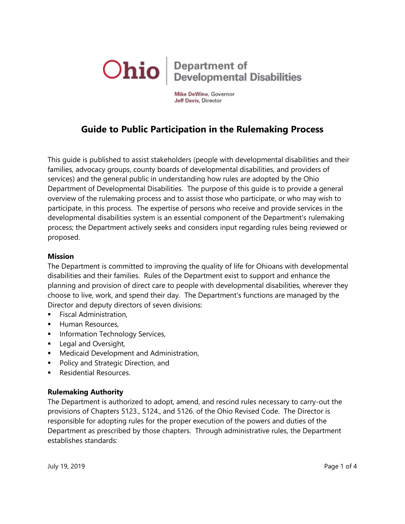

Mike DeWine, Governor Jeff Davis, Director

# **Guide to Public Participation in the Rulemaking Process**

This guide is published to assist stakeholders (people with developmental disabilities and their families, advocacy groups, county boards of developmental disabilities, and providers of services) and the general public in understanding how rules are adopted by the Ohio Department of Developmental Disabilities. The purpose of this guide is to provide a general overview of the rulemaking process and to assist those who participate, or who may wish to participate, in this process. The expertise of persons who receive and provide services in the developmental disabilities system is an essential component of the Department's rulemaking process; the Department actively seeks and considers input regarding rules being reviewed or proposed.

#### **Mission**

The Department is committed to improving the quality of life for Ohioans with developmental disabilities and their families. Rules of the Department exist to support and enhance the planning and provision of direct care to people with developmental disabilities, wherever they choose to live, work, and spend their day. The Department's functions are managed by the Director and deputy directors of seven divisions:

- Fiscal Administration,
- **Human Resources,**
- **Information Technology Services,**
- **Legal and Oversight,**
- **Medicaid Development and Administration,**
- **Policy and Strategic Direction, and**
- Residential Resources.

#### **Rulemaking Authority**

The Department is authorized to adopt, amend, and rescind rules necessary to carry-out the provisions of Chapters 5123., 5124., and 5126. of the Ohio Revised Code. The Director is responsible for adopting rules for the proper execution of the powers and duties of the Department as prescribed by those chapters. Through administrative rules, the Department establishes standards: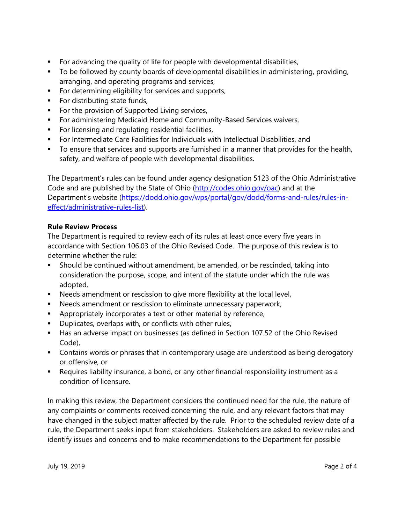- For advancing the quality of life for people with developmental disabilities,
- To be followed by county boards of developmental disabilities in administering, providing, arranging, and operating programs and services,
- **For determining eligibility for services and supports,**
- **For distributing state funds,**
- **For the provision of Supported Living services,**
- **For administering Medicaid Home and Community-Based Services waivers,**
- **For licensing and regulating residential facilities,**
- For Intermediate Care Facilities for Individuals with Intellectual Disabilities, and
- To ensure that services and supports are furnished in a manner that provides for the health, safety, and welfare of people with developmental disabilities.

The Department's rules can be found under agency designation 5123 of the Ohio Administrative Code and are published by the State of Ohio [\(http://codes.ohio.gov/oac\)](http://codes.ohio.gov/oac) and at the Department's website [\(https://dodd.ohio.gov/wps/portal/gov/dodd/forms-and-rules/rules-in](https://dodd.ohio.gov/wps/portal/gov/dodd/forms-and-rules/rules-in-effect/administrative-rules-list)[effect/administrative-rules-list\)](https://dodd.ohio.gov/wps/portal/gov/dodd/forms-and-rules/rules-in-effect/administrative-rules-list).

## **Rule Review Process**

The Department is required to review each of its rules at least once every five years in accordance with Section 106.03 of the Ohio Revised Code. The purpose of this review is to determine whether the rule:

- Should be continued without amendment, be amended, or be rescinded, taking into consideration the purpose, scope, and intent of the statute under which the rule was adopted,
- Needs amendment or rescission to give more flexibility at the local level,
- Needs amendment or rescission to eliminate unnecessary paperwork,
- Appropriately incorporates a text or other material by reference,
- **Duplicates, overlaps with, or conflicts with other rules,**
- Has an adverse impact on businesses (as defined in Section 107.52 of the Ohio Revised Code),
- **Contains words or phrases that in contemporary usage are understood as being derogatory** or offensive, or
- Requires liability insurance, a bond, or any other financial responsibility instrument as a condition of licensure.

In making this review, the Department considers the continued need for the rule, the nature of any complaints or comments received concerning the rule, and any relevant factors that may have changed in the subject matter affected by the rule. Prior to the scheduled review date of a rule, the Department seeks input from stakeholders. Stakeholders are asked to review rules and identify issues and concerns and to make recommendations to the Department for possible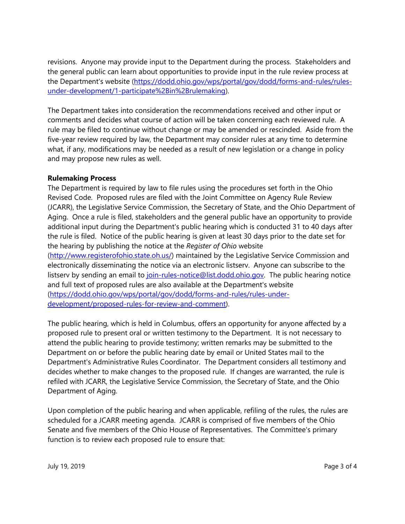revisions. Anyone may provide input to the Department during the process. Stakeholders and the general public can learn about opportunities to provide input in the rule review process at the Department's website [\(https://dodd.ohio.gov/wps/portal/gov/dodd/forms-and-rules/rules](https://dodd.ohio.gov/wps/portal/gov/dodd/forms-and-rules/rules-under-development/1-participate%2Bin%2Brulemaking)[under-development/1-participate%2Bin%2Brulemaking\)](https://dodd.ohio.gov/wps/portal/gov/dodd/forms-and-rules/rules-under-development/1-participate%2Bin%2Brulemaking).

The Department takes into consideration the recommendations received and other input or comments and decides what course of action will be taken concerning each reviewed rule. A rule may be filed to continue without change or may be amended or rescinded. Aside from the five-year review required by law, the Department may consider rules at any time to determine what, if any, modifications may be needed as a result of new legislation or a change in policy and may propose new rules as well.

## **Rulemaking Process**

The Department is required by law to file rules using the procedures set forth in the Ohio Revised Code. Proposed rules are filed with the Joint Committee on Agency Rule Review (JCARR), the Legislative Service Commission, the Secretary of State, and the Ohio Department of Aging. Once a rule is filed, stakeholders and the general public have an opportunity to provide additional input during the Department's public hearing which is conducted 31 to 40 days after the rule is filed. Notice of the public hearing is given at least 30 days prior to the date set for the hearing by publishing the notice at the *Register of Ohio* website [\(http://www.registerofohio.state.oh.us/\)](http://www.registerofohio.state.oh.us/) maintained by the Legislative Service Commission and electronically disseminating the notice via an electronic listserv. Anyone can subscribe to the listserv by sending an email to [join-rules-notice@list.dodd.ohio.gov.](mailto:join-rules-notice@list.dodd.ohio.gov) The public hearing notice and full text of proposed rules are also available at the Department's website [\(https://dodd.ohio.gov/wps/portal/gov/dodd/forms-and-rules/rules-under](https://dodd.ohio.gov/wps/portal/gov/dodd/forms-and-rules/rules-under-development/proposed-rules-for-review-and-comment)[development/proposed-rules-for-review-and-comment\)](https://dodd.ohio.gov/wps/portal/gov/dodd/forms-and-rules/rules-under-development/proposed-rules-for-review-and-comment).

The public hearing, which is held in Columbus, offers an opportunity for anyone affected by a proposed rule to present oral or written testimony to the Department. It is not necessary to attend the public hearing to provide testimony; written remarks may be submitted to the Department on or before the public hearing date by email or United States mail to the Department's Administrative Rules Coordinator. The Department considers all testimony and decides whether to make changes to the proposed rule. If changes are warranted, the rule is refiled with JCARR, the Legislative Service Commission, the Secretary of State, and the Ohio Department of Aging.

Upon completion of the public hearing and when applicable, refiling of the rules, the rules are scheduled for a JCARR meeting agenda. JCARR is comprised of five members of the Ohio Senate and five members of the Ohio House of Representatives. The Committee's primary function is to review each proposed rule to ensure that: